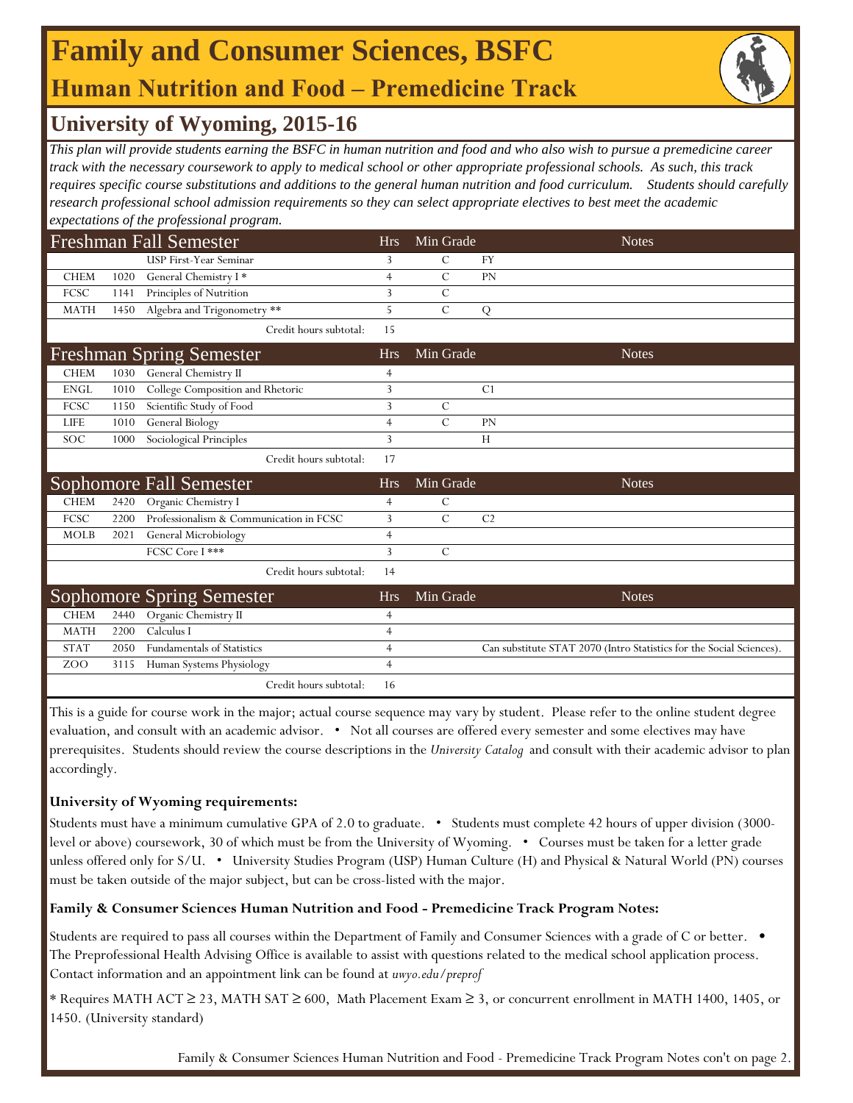## **Human Nutrition and Food ‒ Premedicine Track Family and Consumer Sciences, BSFC**



### **University of Wyoming, 2015-16**

*This plan will provide students earning the BSFC in human nutrition and food and who also wish to pursue a premedicine career track with the necessary coursework to apply to medical school or other appropriate professional schools. As such, this track requires specific course substitutions and additions to the general human nutrition and food curriculum. Students should carefully research professional school admission requirements so they can select appropriate electives to best meet the academic expectations of the professional program.*

|             |      | <b>Freshman Fall Semester</b>           | <b>Hrs</b>     | Min Grade     | <b>Notes</b>                                                         |
|-------------|------|-----------------------------------------|----------------|---------------|----------------------------------------------------------------------|
|             |      | USP First-Year Seminar                  | 3              | C             | <b>FY</b>                                                            |
| <b>CHEM</b> | 1020 | General Chemistry I*                    | $\overline{4}$ | $\mathcal{C}$ | PN                                                                   |
| FCSC        | 1141 | Principles of Nutrition                 | 3              | $\mathcal{C}$ |                                                                      |
| <b>MATH</b> | 1450 | Algebra and Trigonometry **             | 5              | $\mathcal{C}$ | ${\bf Q}$                                                            |
|             |      | Credit hours subtotal:                  | 15             |               |                                                                      |
|             |      | <b>Freshman Spring Semester</b>         | <b>Hrs</b>     | Min Grade     | <b>Notes</b>                                                         |
| <b>CHEM</b> | 1030 | General Chemistry II                    | $\overline{4}$ |               |                                                                      |
| <b>ENGL</b> | 1010 | College Composition and Rhetoric        | 3              |               | C <sub>1</sub>                                                       |
| FCSC        | 1150 | Scientific Study of Food                | 3              | $\mathcal{C}$ |                                                                      |
| LIFE        | 1010 | General Biology                         | $\overline{4}$ | $\mathcal{C}$ | <b>PN</b>                                                            |
| SOC         | 1000 | Sociological Principles                 | $\overline{3}$ |               | H                                                                    |
|             |      | Credit hours subtotal:                  | 17             |               |                                                                      |
|             |      | Sophomore Fall Semester                 | <b>Hrs</b>     | Min Grade     | <b>Notes</b>                                                         |
| <b>CHEM</b> | 2420 | Organic Chemistry I                     | $\overline{4}$ | $\mathcal{C}$ |                                                                      |
| FCSC        | 2200 | Professionalism & Communication in FCSC | 3              | $\mathcal{C}$ | C <sub>2</sub>                                                       |
| <b>MOLB</b> | 2021 | General Microbiology                    | $\overline{4}$ |               |                                                                      |
|             |      | FCSC Core I ***                         | 3              | $\mathcal{C}$ |                                                                      |
|             |      | Credit hours subtotal:                  | 14             |               |                                                                      |
|             |      | <b>Sophomore Spring Semester</b>        | <b>Hrs</b>     | Min Grade     | <b>Notes</b>                                                         |
| <b>CHEM</b> | 2440 | Organic Chemistry II                    | $\overline{4}$ |               |                                                                      |
| <b>MATH</b> | 2200 | Calculus I                              | $\overline{4}$ |               |                                                                      |
| <b>STAT</b> | 2050 | <b>Fundamentals of Statistics</b>       | $\overline{4}$ |               | Can substitute STAT 2070 (Intro Statistics for the Social Sciences). |
| ZOO         | 3115 | Human Systems Physiology                | $\overline{4}$ |               |                                                                      |
|             |      | Credit hours subtotal:                  | 16             |               |                                                                      |

This is a guide for course work in the major; actual course sequence may vary by student. Please refer to the online student degree evaluation, and consult with an academic advisor. • Not all courses are offered every semester and some electives may have prerequisites. Students should review the course descriptions in the *University Catalog* and consult with their academic advisor to plan accordingly.

#### **University of Wyoming requirements:**

Students must have a minimum cumulative GPA of 2.0 to graduate. • Students must complete 42 hours of upper division (3000 level or above) coursework, 30 of which must be from the University of Wyoming. • Courses must be taken for a letter grade unless offered only for S/U. • University Studies Program (USP) Human Culture (H) and Physical & Natural World (PN) courses must be taken outside of the major subject, but can be cross-listed with the major.

#### **Family & Consumer Sciences Human Nutrition and Food - Premedicine Track Program Notes:**

Students are required to pass all courses within the Department of Family and Consumer Sciences with a grade of C or better. • The Preprofessional Health Advising Office is available to assist with questions related to the medical school application process. Contact information and an appointment link can be found at *uwyo.edu/preprof*

\* Requires MATH ACT ≥ 23, MATH SAT ≥ 600, Math Placement Exam ≥ 3, or concurrent enrollment in MATH 1400, 1405, or 1450. (University standard)

Family & Consumer Sciences Human Nutrition and Food - Premedicine Track Program Notes con't on page 2.